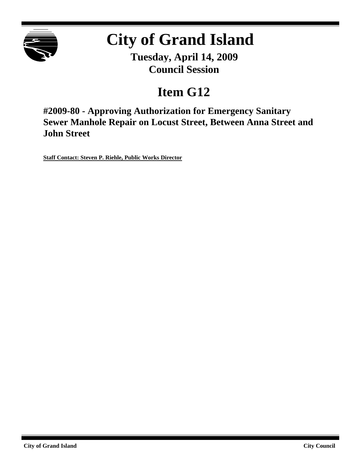

# **City of Grand Island**

**Tuesday, April 14, 2009 Council Session**

## **Item G12**

**#2009-80 - Approving Authorization for Emergency Sanitary Sewer Manhole Repair on Locust Street, Between Anna Street and John Street**

**Staff Contact: Steven P. Riehle, Public Works Director**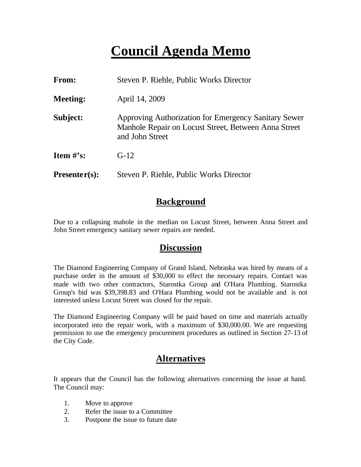### **Council Agenda Memo**

| <b>From:</b>    | Steven P. Riehle, Public Works Director                                                                                         |  |
|-----------------|---------------------------------------------------------------------------------------------------------------------------------|--|
| <b>Meeting:</b> | April 14, 2009                                                                                                                  |  |
| Subject:        | Approving Authorization for Emergency Sanitary Sewer<br>Manhole Repair on Locust Street, Between Anna Street<br>and John Street |  |
| Item $\#$ 's:   | $G-12$                                                                                                                          |  |
| $Presenter(s):$ | Steven P. Riehle, Public Works Director                                                                                         |  |

#### **Background**

Due to a collapsing mahole in the median on Locust Street, between Anna Street and John Street emergency sanitary sewer repairs are needed.

#### **Discussion**

The Diamond Engineering Company of Grand Island, Nebraska was hired by means of a purchase order in the amount of \$30,000 to effect the necessary repairs. Contact was made with two other contractors, Starostka Group and O'Hara Plumbing. Starostka Group's bid was \$39,398.83 and O'Hara Plumbing would not be available and is not interested unless Locust Street was closed for the repair.

The Diamond Engineering Company will be paid based on time and materials actually incorporated into the repair work, with a maximum of \$30,000.00. We are requesting permission to use the emergency procurement procedures as outlined in Section 27-13 of the City Code.

### **Alternatives**

It appears that the Council has the following alternatives concerning the issue at hand. The Council may:

- 1. Move to approve
- 2. Refer the issue to a Committee
- 3. Postpone the issue to future date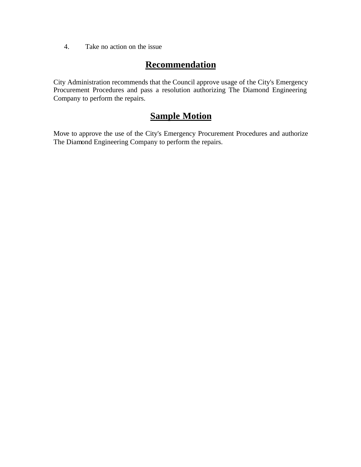4. Take no action on the issue

### **Recommendation**

City Administration recommends that the Council approve usage of the City's Emergency Procurement Procedures and pass a resolution authorizing The Diamond Engineering Company to perform the repairs.

#### **Sample Motion**

Move to approve the use of the City's Emergency Procurement Procedures and authorize The Diamond Engineering Company to perform the repairs.